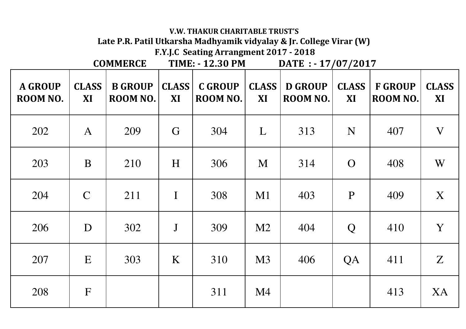|                            | <b>COMMERCE</b>           |                            |                    | F.Y.J.C Seating Arrangment 2017 - 2018<br><b>TIME: - 12.30 PM</b><br>DATE : - 17/07/2017 |                           |                            |                    |                            |                    |
|----------------------------|---------------------------|----------------------------|--------------------|------------------------------------------------------------------------------------------|---------------------------|----------------------------|--------------------|----------------------------|--------------------|
| <b>A GROUP</b><br>ROOM NO. | <b>CLASS</b><br><b>XI</b> | <b>B GROUP</b><br>ROOM NO. | <b>CLASS</b><br>XI | <b>C GROUP</b><br>ROOM NO.                                                               | <b>CLASS</b><br><b>XI</b> | <b>D GROUP</b><br>ROOM NO. | <b>CLASS</b><br>XI | <b>F GROUP</b><br>ROOM NO. | <b>CLASS</b><br>XI |
| 202                        | $\mathbf{A}$              | 209                        | G                  | 304                                                                                      | L                         | 313                        | N                  | 407                        | V                  |
| 203                        | B                         | 210                        | H                  | 306                                                                                      | M                         | 314                        | $\overline{O}$     | 408                        | W                  |
| 204                        | $\mathcal{C}$             | 211                        | $\mathbf I$        | 308                                                                                      | M1                        | 403                        | P                  | 409                        | X                  |
| 206                        | D                         | 302                        | $\mathbf{J}$       | 309                                                                                      | M2                        | 404                        | Q                  | 410                        | Y                  |
| 207                        | E                         | 303                        | K                  | 310                                                                                      | M3                        | 406                        | QA                 | 411                        | Z                  |
| 208                        | $\mathbf{F}$              |                            |                    | 311                                                                                      | M4                        |                            |                    | 413                        | XA                 |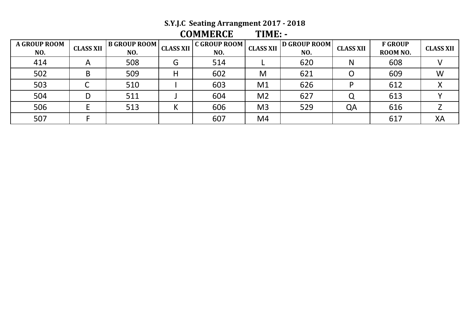# **S.Y.J.C Seating Arrangment 2017 - 2018**

| <b>COMMERCE</b> | $TIME: -$ |
|-----------------|-----------|
|                 |           |

| <b>A GROUP ROOM</b><br>NO. | <b>CLASS XII</b> | B GROUP ROOM  <br>NO. | <b>CLASS XII</b> | C GROUP ROOM  <br>NO. | <b>CLASS XII</b> | <b>D</b> GROUP ROOM<br>NO. | <b>CLASS XII</b> | <b>F GROUP</b><br>ROOM NO. | <b>CLASS XII</b> |
|----------------------------|------------------|-----------------------|------------------|-----------------------|------------------|----------------------------|------------------|----------------------------|------------------|
| 414                        | A                | 508                   | G                | 514                   |                  | 620                        | N                | 608                        |                  |
| 502                        | B                | 509                   | Η                | 602                   | M                | 621                        |                  | 609                        | W                |
| 503                        |                  | 510                   |                  | 603                   | M1               | 626                        |                  | 612                        |                  |
| 504                        |                  | 511                   |                  | 604                   | M <sub>2</sub>   | 627                        |                  | 613                        |                  |
| 506                        |                  | 513                   | N                | 606                   | M <sub>3</sub>   | 529                        | QA               | 616                        |                  |
| 507                        |                  |                       |                  | 607                   | M4               |                            |                  | 617                        | XA               |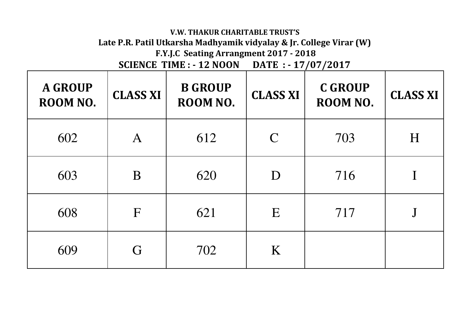# **V.W. THAKUR CHARITABLE TRUST'S Late P.R. Patil Utkarsha Madhyamik vidyalay & Jr. College Virar (W)**

**F.Y.J.C Seating Arrangment 2017 - 2018**

**SCIENCE TIME : - 12 NOON DATE : - 17/07/2017** 

| <b>A GROUP</b><br>ROOM NO. | <b>CLASS XI</b> | <b>B GROUP</b><br>ROOM NO. | <b>CLASS XI</b>             | <b>C GROUP</b><br>ROOM NO. | <b>CLASS XI</b> |
|----------------------------|-----------------|----------------------------|-----------------------------|----------------------------|-----------------|
| 602                        | $\bm{A}$        | 612                        | $\mathcal{C}_{\mathcal{C}}$ | 703                        | H               |
| 603                        | B               | 620                        | D                           | 716                        |                 |
| 608                        | F               | 621                        | E                           | 717                        |                 |
| 609                        | G               | 702                        | K                           |                            |                 |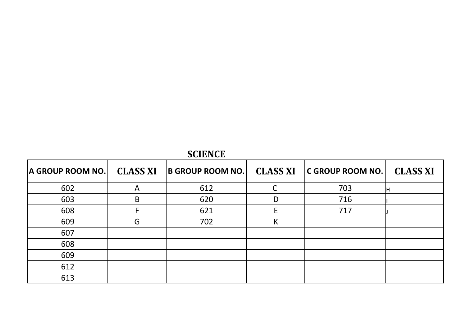| <b>SCIENCE</b>   |                 |                         |                 |                         |                 |  |  |
|------------------|-----------------|-------------------------|-----------------|-------------------------|-----------------|--|--|
| A GROUP ROOM NO. | <b>CLASS XI</b> | <b>B GROUP ROOM NO.</b> | <b>CLASS XI</b> | <b>C GROUP ROOM NO.</b> | <b>CLASS XI</b> |  |  |
| 602              | A               | 612                     | C               | 703                     | IH              |  |  |
| 603              | B               | 620                     | D               | 716                     |                 |  |  |
| 608              |                 | 621                     | E               | 717                     |                 |  |  |
| 609              | G               | 702                     | K               |                         |                 |  |  |
| 607              |                 |                         |                 |                         |                 |  |  |
| 608              |                 |                         |                 |                         |                 |  |  |
| 609              |                 |                         |                 |                         |                 |  |  |
| 612              |                 |                         |                 |                         |                 |  |  |
| 613              |                 |                         |                 |                         |                 |  |  |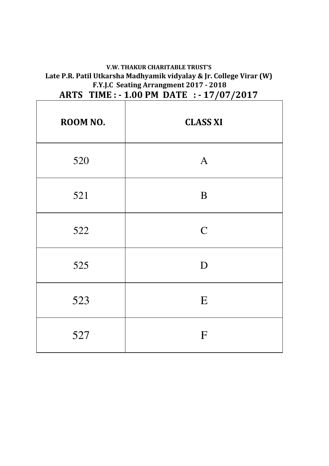## **V.W. THAKUR CHARITABLE TRUST'S Late P.R. Patil Utkarsha Madhyamik vidyalay & Jr. College Virar (W) F.Y.J.C Seating Arrangment 2017 - 2018 ARTS TIME : - 1.00 PM DATE : - 17/07/2017**

| ROOM NO. | <b>CLASS XI</b> |  |  |  |
|----------|-----------------|--|--|--|
| 520      | $\mathbf{A}$    |  |  |  |
| 521      | $\bf{B}$        |  |  |  |
| 522      | $\mathsf{C}$    |  |  |  |
| 525      | D               |  |  |  |
| 523      | E               |  |  |  |
| 527      | F               |  |  |  |